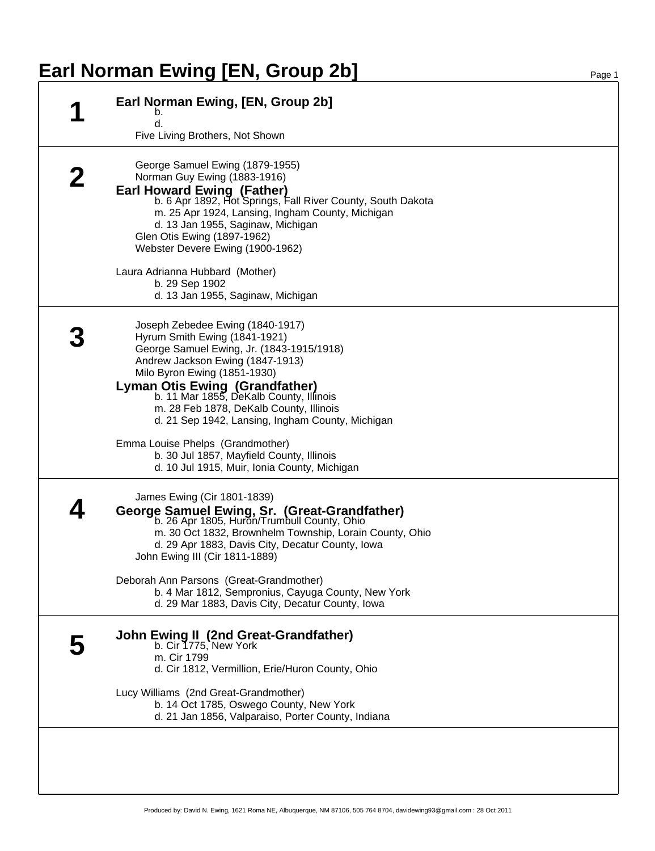## **Earl Norman Ewing [EN, Group 2b]** Page 1

|  | Earl Norman Ewing, [EN, Group 2b]<br>b.<br>d.<br>Five Living Brothers, Not Shown                                                                                                                                                                                                                                                                                      |
|--|-----------------------------------------------------------------------------------------------------------------------------------------------------------------------------------------------------------------------------------------------------------------------------------------------------------------------------------------------------------------------|
|  | George Samuel Ewing (1879-1955)<br>Norman Guy Ewing (1883-1916)<br><b>Earl Howard Ewing (Father)</b><br>b. 6 Apr 1892, Hot Springs, Fall River County, South Dakota<br>m. 25 Apr 1924, Lansing, Ingham County, Michigan<br>d. 13 Jan 1955, Saginaw, Michigan<br>Glen Otis Ewing (1897-1962)<br>Webster Devere Ewing (1900-1962)                                       |
|  | Laura Adrianna Hubbard (Mother)<br>b. 29 Sep 1902<br>d. 13 Jan 1955, Saginaw, Michigan                                                                                                                                                                                                                                                                                |
|  | Joseph Zebedee Ewing (1840-1917)<br>Hyrum Smith Ewing (1841-1921)<br>George Samuel Ewing, Jr. (1843-1915/1918)<br>Andrew Jackson Ewing (1847-1913)<br>Milo Byron Ewing (1851-1930)<br><b>Lyman Otis Ewing (Grandfather)</b><br>b. 11 Mar 1855, DeKalb County, Illinois<br>m. 28 Feb 1878, DeKalb County, Illinois<br>d. 21 Sep 1942, Lansing, Ingham County, Michigan |
|  | Emma Louise Phelps (Grandmother)<br>b. 30 Jul 1857, Mayfield County, Illinois<br>d. 10 Jul 1915, Muir, Ionia County, Michigan                                                                                                                                                                                                                                         |
|  | James Ewing (Cir 1801-1839)<br>George Samuel Ewing, Sr. (Great-Grandfather)<br>b. 26 Apr 1805, Huron/Trumbull County, Ohio<br>m. 30 Oct 1832, Brownhelm Township, Lorain County, Ohio<br>d. 29 Apr 1883, Davis City, Decatur County, Iowa<br>John Ewing III (Cir 1811-1889)                                                                                           |
|  | Deborah Ann Parsons (Great-Grandmother)<br>b. 4 Mar 1812, Sempronius, Cayuga County, New York<br>d. 29 Mar 1883, Davis City, Decatur County, Iowa                                                                                                                                                                                                                     |
|  | <b>John Ewing II (2nd Great-Grandfather)</b><br>b. Cir 1775, New York<br>m. Cir 1799<br>d. Cir 1812, Vermillion, Erie/Huron County, Ohio                                                                                                                                                                                                                              |
|  | Lucy Williams (2nd Great-Grandmother)<br>b. 14 Oct 1785, Oswego County, New York<br>d. 21 Jan 1856, Valparaiso, Porter County, Indiana                                                                                                                                                                                                                                |